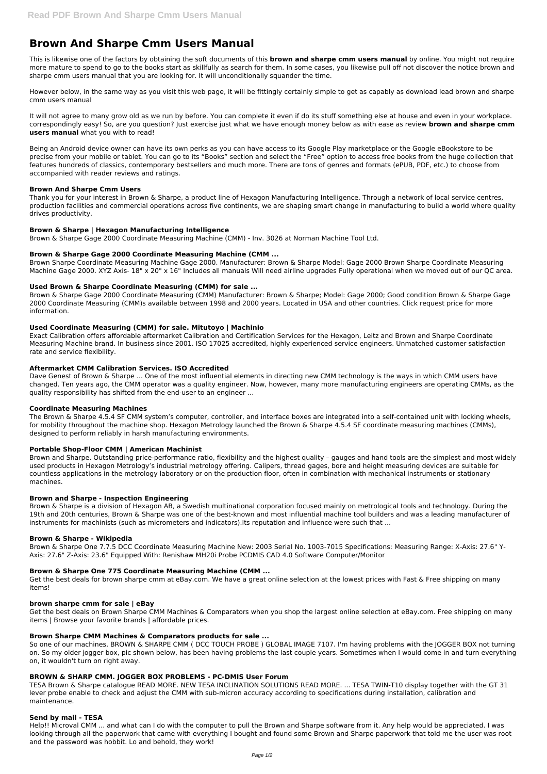# **Brown And Sharpe Cmm Users Manual**

This is likewise one of the factors by obtaining the soft documents of this **brown and sharpe cmm users manual** by online. You might not require more mature to spend to go to the books start as skillfully as search for them. In some cases, you likewise pull off not discover the notice brown and sharpe cmm users manual that you are looking for. It will unconditionally squander the time.

However below, in the same way as you visit this web page, it will be fittingly certainly simple to get as capably as download lead brown and sharpe cmm users manual

It will not agree to many grow old as we run by before. You can complete it even if do its stuff something else at house and even in your workplace. correspondingly easy! So, are you question? Just exercise just what we have enough money below as with ease as review **brown and sharpe cmm users manual** what you with to read!

Being an Android device owner can have its own perks as you can have access to its Google Play marketplace or the Google eBookstore to be precise from your mobile or tablet. You can go to its "Books" section and select the "Free" option to access free books from the huge collection that features hundreds of classics, contemporary bestsellers and much more. There are tons of genres and formats (ePUB, PDF, etc.) to choose from accompanied with reader reviews and ratings.

# **Brown And Sharpe Cmm Users**

Thank you for your interest in Brown & Sharpe, a product line of Hexagon Manufacturing Intelligence. Through a network of local service centres, production facilities and commercial operations across five continents, we are shaping smart change in manufacturing to build a world where quality drives productivity.

# **Brown & Sharpe | Hexagon Manufacturing Intelligence**

Brown & Sharpe Gage 2000 Coordinate Measuring Machine (CMM) - Inv. 3026 at Norman Machine Tool Ltd.

# **Brown & Sharpe Gage 2000 Coordinate Measuring Machine (CMM ...**

Brown Sharpe Coordinate Measuring Machine Gage 2000. Manufacturer: Brown & Sharpe Model: Gage 2000 Brown Sharpe Coordinate Measuring Machine Gage 2000. XYZ Axis- 18" x 20" x 16" Includes all manuals Will need airline upgrades Fully operational when we moved out of our QC area.

# **Used Brown & Sharpe Coordinate Measuring (CMM) for sale ...**

Brown & Sharpe Gage 2000 Coordinate Measuring (CMM) Manufacturer: Brown & Sharpe; Model: Gage 2000; Good condition Brown & Sharpe Gage 2000 Coordinate Measuring (CMM)s available between 1998 and 2000 years. Located in USA and other countries. Click request price for more information.

#### **Used Coordinate Measuring (CMM) for sale. Mitutoyo | Machinio**

Exact Calibration offers affordable aftermarket Calibration and Certification Services for the Hexagon, Leitz and Brown and Sharpe Coordinate Measuring Machine brand. In business since 2001. ISO 17025 accredited, highly experienced service engineers. Unmatched customer satisfaction rate and service flexibility.

#### **Aftermarket CMM Calibration Services. ISO Accredited**

Dave Genest of Brown & Sharpe ... One of the most influential elements in directing new CMM technology is the ways in which CMM users have changed. Ten years ago, the CMM operator was a quality engineer. Now, however, many more manufacturing engineers are operating CMMs, as the quality responsibility has shifted from the end-user to an engineer ...

#### **Coordinate Measuring Machines**

The Brown & Sharpe 4.5.4 SF CMM system's computer, controller, and interface boxes are integrated into a self-contained unit with locking wheels, for mobility throughout the machine shop. Hexagon Metrology launched the Brown & Sharpe 4.5.4 SF coordinate measuring machines (CMMs), designed to perform reliably in harsh manufacturing environments.

#### **Portable Shop-Floor CMM | American Machinist**

Brown and Sharpe. Outstanding price-performance ratio, flexibility and the highest quality – gauges and hand tools are the simplest and most widely used products in Hexagon Metrology's industrial metrology offering. Calipers, thread gages, bore and height measuring devices are suitable for countless applications in the metrology laboratory or on the production floor, often in combination with mechanical instruments or stationary machines.

#### **Brown and Sharpe - Inspection Engineering**

Brown & Sharpe is a division of Hexagon AB, a Swedish multinational corporation focused mainly on metrological tools and technology. During the 19th and 20th centuries, Brown & Sharpe was one of the best-known and most influential machine tool builders and was a leading manufacturer of instruments for machinists (such as micrometers and indicators).Its reputation and influence were such that ...

#### **Brown & Sharpe - Wikipedia**

Brown & Sharpe One 7.7.5 DCC Coordinate Measuring Machine New: 2003 Serial No. 1003-7015 Specifications: Measuring Range: X-Axis: 27.6" Y-Axis: 27.6" Z-Axis: 23.6" Equipped With: Renishaw MH20i Probe PCDMIS CAD 4.0 Software Computer/Monitor

#### **Brown & Sharpe One 775 Coordinate Measuring Machine (CMM ...**

Get the best deals for brown sharpe cmm at eBay.com. We have a great online selection at the lowest prices with Fast & Free shipping on many

items!

#### **brown sharpe cmm for sale | eBay**

Get the best deals on Brown Sharpe CMM Machines & Comparators when you shop the largest online selection at eBay.com. Free shipping on many items | Browse your favorite brands | affordable prices.

#### **Brown Sharpe CMM Machines & Comparators products for sale ...**

So one of our machines, BROWN & SHARPE CMM ( DCC TOUCH PROBE ) GLOBAL IMAGE 7107. I'm having problems with the JOGGER BOX not turning on. So my older jogger box, pic shown below, has been having problems the last couple years. Sometimes when I would come in and turn everything on, it wouldn't turn on right away.

#### **BROWN & SHARP CMM. JOGGER BOX PROBLEMS - PC-DMIS User Forum**

TESA Brown & Sharpe catalogue READ MORE. NEW TESA INCLINATION SOLUTIONS READ MORE. ... TESA TWIN-T10 display together with the GT 31 lever probe enable to check and adjust the CMM with sub-micron accuracy according to specifications during installation, calibration and maintenance.

#### **Send by mail - TESA**

Help!! Microval CMM ... and what can I do with the computer to pull the Brown and Sharpe software from it. Any help would be appreciated. I was looking through all the paperwork that came with everything I bought and found some Brown and Sharpe paperwork that told me the user was root and the password was hobbit. Lo and behold, they work!